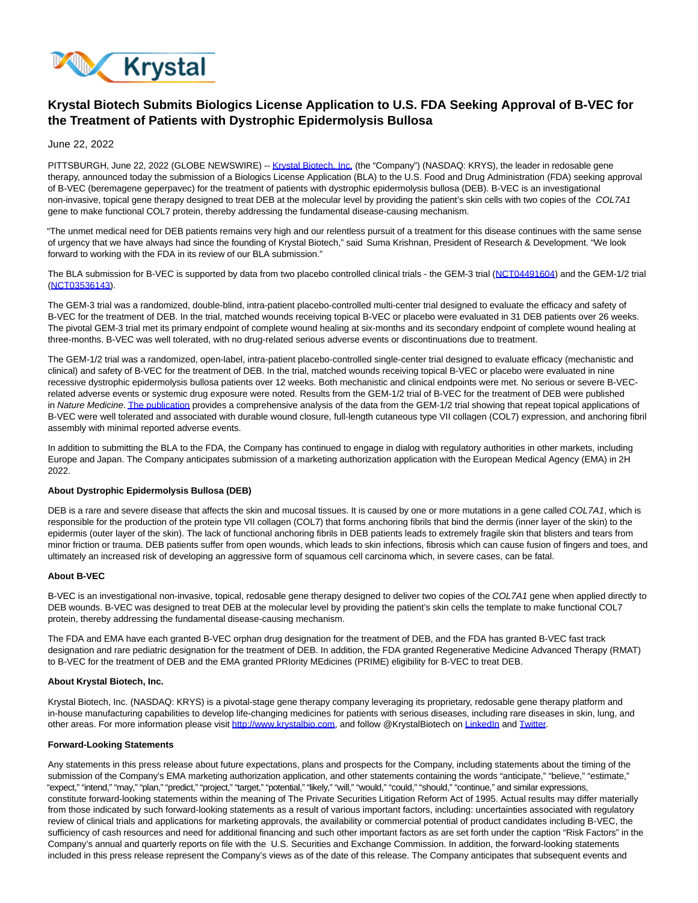

# **Krystal Biotech Submits Biologics License Application to U.S. FDA Seeking Approval of B-VEC for the Treatment of Patients with Dystrophic Epidermolysis Bullosa**

June 22, 2022

PITTSBURGH, June 22, 2022 (GLOBE NEWSWIRE) -[- Krystal Biotech, Inc. \(](https://www.globenewswire.com/Tracker?data=A5lk_LgKwWuidrqkaV2bCOdoFS1LmCLzru13eMsbalm3Ln84R-55-jagvpDk8h7Uqg2Xj2OPNmRlYhLCAHlMKH3untNqNgay3Rcg9HhH30w=)the "Company") (NASDAQ: KRYS), the leader in redosable gene therapy, announced today the submission of a Biologics License Application (BLA) to the U.S. Food and Drug Administration (FDA) seeking approval of B-VEC (beremagene geperpavec) for the treatment of patients with dystrophic epidermolysis bullosa (DEB). B-VEC is an investigational non-invasive, topical gene therapy designed to treat DEB at the molecular level by providing the patient's skin cells with two copies of the COL7A1 gene to make functional COL7 protein, thereby addressing the fundamental disease-causing mechanism.

"The unmet medical need for DEB patients remains very high and our relentless pursuit of a treatment for this disease continues with the same sense of urgency that we have always had since the founding of Krystal Biotech," said Suma Krishnan, President of Research & Development. "We look forward to working with the FDA in its review of our BLA submission."

The BLA submission for B-VEC is supported by data from two placebo controlled clinical trials - the GEM-3 trial [\(NCT04491604\)](https://www.globenewswire.com/Tracker?data=NuwCVb8J-QlcGefxJyKKP0XyHpIJXYf3bCOVI_kx3sjYbD8KEX3B0nnYof1LSSEW1xNkIPdrIW5dULNAN8eGHpFCoHPavoW79-fpdzbCWNx4BqjFkfkCGbkVVJbEmiqVcNKaiBtwpVib2Ye-U-e2yQ==) and the GEM-1/2 trial [\(NCT03536143\).](https://www.globenewswire.com/Tracker?data=QvYwskSLwb4-yxHLXFhGrVoUu5GqBgeRyVHb8wF_c-hY1NKYD7LwLh9V05g0pgPg4U6h2ukRECvnJeW6N5ovqx6uI8T4dMU4CSzPQGyy1u6DKDi4lA10ss_gOT7IuMlcAtfJFZY4d2MEfAHaILY4_Q==)

The GEM-3 trial was a randomized, double-blind, intra-patient placebo-controlled multi-center trial designed to evaluate the efficacy and safety of B-VEC for the treatment of DEB. In the trial, matched wounds receiving topical B-VEC or placebo were evaluated in 31 DEB patients over 26 weeks. The pivotal GEM-3 trial met its primary endpoint of complete wound healing at six-months and its secondary endpoint of complete wound healing at three-months. B-VEC was well tolerated, with no drug-related serious adverse events or discontinuations due to treatment.

The GEM-1/2 trial was a randomized, open-label, intra-patient placebo-controlled single-center trial designed to evaluate efficacy (mechanistic and clinical) and safety of B-VEC for the treatment of DEB. In the trial, matched wounds receiving topical B-VEC or placebo were evaluated in nine recessive dystrophic epidermolysis bullosa patients over 12 weeks. Both mechanistic and clinical endpoints were met. No serious or severe B-VECrelated adverse events or systemic drug exposure were noted. Results from the GEM-1/2 trial of B-VEC for the treatment of DEB were published in Nature Medicine[. The publication p](https://www.globenewswire.com/Tracker?data=R0PmQ0t7AWNPNg-JotfbHVnkAwSujUILjPlpseSr5yxVYb4wTcRkA8KzAHmcKppwtMtFNg8f0MMNwLdBKG2ZjlJkojJK3QbHpIurFHmEk3Tbxz_GqqfTy5OK_dSt8Q4VHFoDbEDaSTaLLtjndoYZVnICJ9u7oA5W0IALxWGxmUxFPKPvtwulnZXrWj2GElWTX2usxM1lpXOyIkeRErUOFVi6jPnbxvCnSZbaciwsk8DoX_laeEYcPHR_XevQdDlEM6RssriTxI6IFDNfBizuTQ==)rovides a comprehensive analysis of the data from the GEM-1/2 trial showing that repeat topical applications of B-VEC were well tolerated and associated with durable wound closure, full-length cutaneous type VII collagen (COL7) expression, and anchoring fibril assembly with minimal reported adverse events.

In addition to submitting the BLA to the FDA, the Company has continued to engage in dialog with regulatory authorities in other markets, including Europe and Japan. The Company anticipates submission of a marketing authorization application with the European Medical Agency (EMA) in 2H 2022.

## **About Dystrophic Epidermolysis Bullosa (DEB)**

DEB is a rare and severe disease that affects the skin and mucosal tissues. It is caused by one or more mutations in a gene called COL7A1, which is responsible for the production of the protein type VII collagen (COL7) that forms anchoring fibrils that bind the dermis (inner layer of the skin) to the epidermis (outer layer of the skin). The lack of functional anchoring fibrils in DEB patients leads to extremely fragile skin that blisters and tears from minor friction or trauma. DEB patients suffer from open wounds, which leads to skin infections, fibrosis which can cause fusion of fingers and toes, and ultimately an increased risk of developing an aggressive form of squamous cell carcinoma which, in severe cases, can be fatal.

### **About B-VEC**

B-VEC is an investigational non-invasive, topical, redosable gene therapy designed to deliver two copies of the COL7A1 gene when applied directly to DEB wounds. B-VEC was designed to treat DEB at the molecular level by providing the patient's skin cells the template to make functional COL7 protein, thereby addressing the fundamental disease-causing mechanism.

The FDA and EMA have each granted B-VEC orphan drug designation for the treatment of DEB, and the FDA has granted B-VEC fast track designation and rare pediatric designation for the treatment of DEB. In addition, the FDA granted Regenerative Medicine Advanced Therapy (RMAT) to B-VEC for the treatment of DEB and the EMA granted PRIority MEdicines (PRIME) eligibility for B-VEC to treat DEB.

#### **About Krystal Biotech, Inc.**

Krystal Biotech, Inc. (NASDAQ: KRYS) is a pivotal-stage gene therapy company leveraging its proprietary, redosable gene therapy platform and in-house manufacturing capabilities to develop life-changing medicines for patients with serious diseases, including rare diseases in skin, lung, and other areas. For more information please visit [http://www.krystalbio.com,](https://www.globenewswire.com/Tracker?data=sNQzp-QnDlgJqBufKZE3Xg84rYRUUC6JkaGlAMX4EjDBewlP1O-tynGSk6Tc_BoCSxaSyqpmNQboh7t4v2wa8gJPzW8qS8my74KCHI0dxAJx6g4WoQ6P7Icyfb2Fw5292kvX57kj7nbRPmhDVfZBP-PkOWlpgJCSUPrYk2iP4-E3o5f3KKRdZVhYh3NciomoBVTPqqidelxp78BxGrPErVbSgYWsLnGRDK3WPOQtdq_HvFL4zIVvWLUzoAxuUdOHr61mT1LxG13kgyzFYrqm1Q==) and follow @KrystalBiotech o[n LinkedIn a](https://www.globenewswire.com/Tracker?data=UuE4bPMsUJTEwbj6nhZh5Fc-l5rFi-gujaUUBeMqN4yZrxBd1SRzsMob3GJj_aB8VBWR_pYO-Cu6xT57mux9B9AH6gsDMqY6NsdT9CGr2OsplVXFytiV8hHt7u_sYcrT)nd [Twitter.](https://www.globenewswire.com/Tracker?data=Fyln55QsspYhiPPdiey2WyfSjN66BKWBurUHpPG4ocCUDfv8LOSEGyBiYiY6-p3wUc0MWqwCBr3HLFvjNaWmhA==)

#### **Forward-Looking Statements**

Any statements in this press release about future expectations, plans and prospects for the Company, including statements about the timing of the submission of the Company's EMA marketing authorization application, and other statements containing the words "anticipate," "believe," "estimate," "expect," "intend," "may," "plan," "predict," "project," "target," "potential," "likely," "will," "would," "could," "should," "continue," and similar expressions, constitute forward-looking statements within the meaning of The Private Securities Litigation Reform Act of 1995. Actual results may differ materially from those indicated by such forward-looking statements as a result of various important factors, including: uncertainties associated with regulatory review of clinical trials and applications for marketing approvals, the availability or commercial potential of product candidates including B-VEC, the sufficiency of cash resources and need for additional financing and such other important factors as are set forth under the caption "Risk Factors" in the Company's annual and quarterly reports on file with the U.S. Securities and Exchange Commission. In addition, the forward-looking statements included in this press release represent the Company's views as of the date of this release. The Company anticipates that subsequent events and